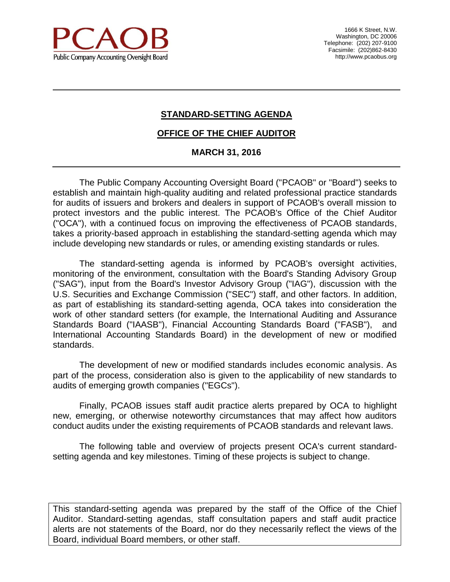

1666 K Street, N.W. Washington, DC 20006 Telephone: (202) 207-9100 Facsimile: (202)862-8430 http://www.pcaobus.org

# **STANDARD-SETTING AGENDA**

### **OFFICE OF THE CHIEF AUDITOR**

#### **MARCH 31, 2016**

The Public Company Accounting Oversight Board ("PCAOB" or "Board") seeks to establish and maintain high-quality auditing and related professional practice standards for audits of issuers and brokers and dealers in support of PCAOB's overall mission to protect investors and the public interest. The PCAOB's Office of the Chief Auditor ("OCA"), with a continued focus on improving the effectiveness of PCAOB standards, takes a priority-based approach in establishing the standard-setting agenda which may include developing new standards or rules, or amending existing standards or rules.

The standard-setting agenda is informed by PCAOB's oversight activities, monitoring of the environment, consultation with the Board's Standing Advisory Group ("SAG"), input from the Board's Investor Advisory Group ("IAG"), discussion with the U.S. Securities and Exchange Commission ("SEC") staff, and other factors. In addition, as part of establishing its standard-setting agenda, OCA takes into consideration the work of other standard setters (for example, the International Auditing and Assurance Standards Board ("IAASB"), Financial Accounting Standards Board ("FASB"), and International Accounting Standards Board) in the development of new or modified standards.

The development of new or modified standards includes economic analysis. As part of the process, consideration also is given to the applicability of new standards to audits of emerging growth companies ("EGCs").

Finally, PCAOB issues staff audit practice alerts prepared by OCA to highlight new, emerging, or otherwise noteworthy circumstances that may affect how auditors conduct audits under the existing requirements of PCAOB standards and relevant laws.

The following table and overview of projects present OCA's current standardsetting agenda and key milestones. Timing of these projects is subject to change.

This standard-setting agenda was prepared by the staff of the Office of the Chief Auditor. Standard-setting agendas, staff consultation papers and staff audit practice alerts are not statements of the Board, nor do they necessarily reflect the views of the Board, individual Board members, or other staff.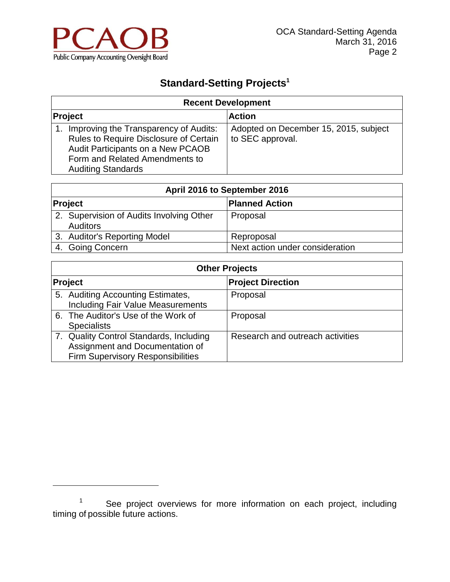

 $\overline{a}$ 

# **Standard-Setting Projects<sup>1</sup>**

| <b>Recent Development</b>                                                                                                                                                                 |                                                           |  |
|-------------------------------------------------------------------------------------------------------------------------------------------------------------------------------------------|-----------------------------------------------------------|--|
| Project                                                                                                                                                                                   | <b>Action</b>                                             |  |
| Improving the Transparency of Audits:<br>1.<br>Rules to Require Disclosure of Certain<br>Audit Participants on a New PCAOB<br>Form and Related Amendments to<br><b>Auditing Standards</b> | Adopted on December 15, 2015, subject<br>to SEC approval. |  |

| April 2016 to September 2016                                |                                 |  |
|-------------------------------------------------------------|---------------------------------|--|
| Project                                                     | <b>Planned Action</b>           |  |
| 2. Supervision of Audits Involving Other<br><b>Auditors</b> | Proposal                        |  |
| 3. Auditor's Reporting Model                                | Reproposal                      |  |
| 4. Going Concern                                            | Next action under consideration |  |

| <b>Other Projects</b> |                                                                                                                        |                                  |
|-----------------------|------------------------------------------------------------------------------------------------------------------------|----------------------------------|
|                       | <b>Project</b>                                                                                                         | <b>Project Direction</b>         |
|                       | 5. Auditing Accounting Estimates,<br><b>Including Fair Value Measurements</b>                                          | Proposal                         |
|                       | 6. The Auditor's Use of the Work of<br><b>Specialists</b>                                                              | Proposal                         |
|                       | 7. Quality Control Standards, Including<br>Assignment and Documentation of<br><b>Firm Supervisory Responsibilities</b> | Research and outreach activities |

 $1$  See project overviews for more information on each project, including timing of possible future actions.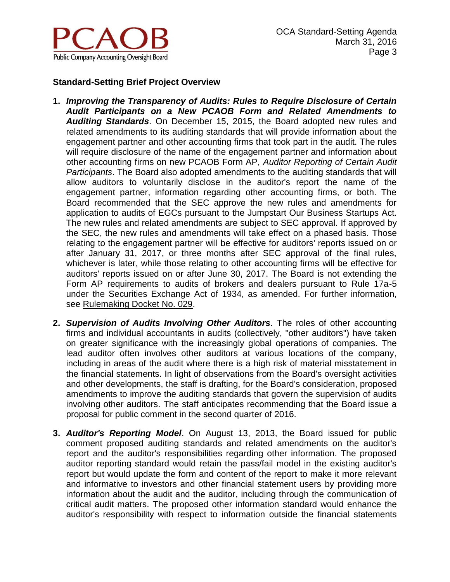

## **Standard-Setting Brief Project Overview**

- **1.** *Improving the Transparency of Audits: Rules to Require Disclosure of Certain Audit Participants on a New PCAOB Form and Related Amendments to Auditing Standards*. On December 15, 2015, the Board adopted new rules and related amendments to its auditing standards that will provide information about the engagement partner and other accounting firms that took part in the audit. The rules will require disclosure of the name of the engagement partner and information about other accounting firms on new PCAOB Form AP, *Auditor Reporting of Certain Audit Participants*. The Board also adopted amendments to the auditing standards that will allow auditors to voluntarily disclose in the auditor's report the name of the engagement partner, information regarding other accounting firms, or both. The Board recommended that the SEC approve the new rules and amendments for application to audits of EGCs pursuant to the Jumpstart Our Business Startups Act. The new rules and related amendments are subject to SEC approval. If approved by the SEC, the new rules and amendments will take effect on a phased basis. Those relating to the engagement partner will be effective for auditors' reports issued on or after January 31, 2017, or three months after SEC approval of the final rules, whichever is later, while those relating to other accounting firms will be effective for auditors' reports issued on or after June 30, 2017. The Board is not extending the Form AP requirements to audits of brokers and dealers pursuant to Rule 17a-5 under the Securities Exchange Act of 1934, as amended. For further information, see [Rulemaking Docket No. 029.](http://pcaobus.org/Rules/Rulemaking/Pages/Docket029.aspx)
- **2.** *Supervision of Audits Involving Other Auditors*. The roles of other accounting firms and individual accountants in audits (collectively, "other auditors") have taken on greater significance with the increasingly global operations of companies. The lead auditor often involves other auditors at various locations of the company, including in areas of the audit where there is a high risk of material misstatement in the financial statements. In light of observations from the Board's oversight activities and other developments, the staff is drafting, for the Board's consideration, proposed amendments to improve the auditing standards that govern the supervision of audits involving other auditors. The staff anticipates recommending that the Board issue a proposal for public comment in the second quarter of 2016.
- **3.** *Auditor's Reporting Model*. On August 13, 2013, the Board issued for public comment proposed auditing standards and related amendments on the auditor's report and the auditor's responsibilities regarding other information. The proposed auditor reporting standard would retain the pass/fail model in the existing auditor's report but would update the form and content of the report to make it more relevant and informative to investors and other financial statement users by providing more information about the audit and the auditor, including through the communication of critical audit matters. The proposed other information standard would enhance the auditor's responsibility with respect to information outside the financial statements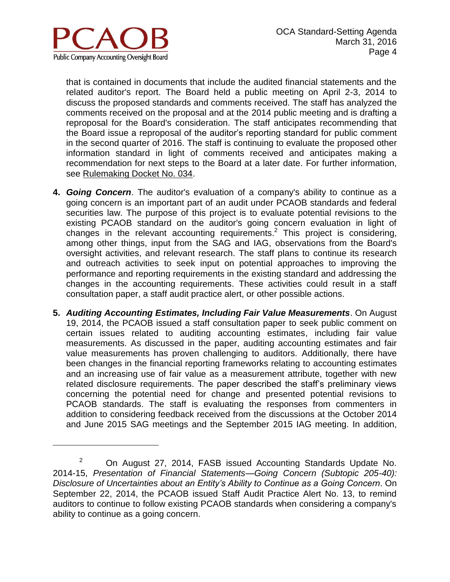

 $\overline{a}$ 

that is contained in documents that include the audited financial statements and the related auditor's report. The Board held a public meeting on April 2-3, 2014 to discuss the proposed standards and comments received. The staff has analyzed the comments received on the proposal and at the 2014 public meeting and is drafting a reproposal for the Board's consideration. The staff anticipates recommending that the Board issue a reproposal of the auditor's reporting standard for public comment in the second quarter of 2016. The staff is continuing to evaluate the proposed other information standard in light of comments received and anticipates making a recommendation for next steps to the Board at a later date. For further information, see [Rulemaking Docket No. 034.](http://pcaobus.org/Rules/Rulemaking/Pages/Docket034.aspx)

- **4.** *Going Concern*. The auditor's evaluation of a company's ability to continue as a going concern is an important part of an audit under PCAOB standards and federal securities law. The purpose of this project is to evaluate potential revisions to the existing PCAOB standard on the auditor's going concern evaluation in light of changes in the relevant accounting requirements. 2 This project is considering, among other things, input from the SAG and IAG, observations from the Board's oversight activities, and relevant research. The staff plans to continue its research and outreach activities to seek input on potential approaches to improving the performance and reporting requirements in the existing standard and addressing the changes in the accounting requirements. These activities could result in a staff consultation paper, a staff audit practice alert, or other possible actions.
- **5.** *Auditing Accounting Estimates, Including Fair Value Measurements*. On August 19, 2014, the PCAOB issued a staff consultation paper to seek public comment on certain issues related to auditing accounting estimates, including fair value measurements. As discussed in the paper, auditing accounting estimates and fair value measurements has proven challenging to auditors. Additionally, there have been changes in the financial reporting frameworks relating to accounting estimates and an increasing use of fair value as a measurement attribute, together with new related disclosure requirements. The paper described the staff's preliminary views concerning the potential need for change and presented potential revisions to PCAOB standards. The staff is evaluating the responses from commenters in addition to considering feedback received from the discussions at the October 2014 and June 2015 SAG meetings and the September 2015 IAG meeting. In addition,

 $2^2$  On August 27, 2014, FASB issued Accounting Standards Update No. 2014-15, *Presentation of Financial Statements—Going Concern (Subtopic 205-40): Disclosure of Uncertainties about an Entity's Ability to Continue as a Going Concern*. On September 22, 2014, the PCAOB issued Staff Audit Practice Alert No. 13, to remind auditors to continue to follow existing PCAOB standards when considering a company's ability to continue as a going concern.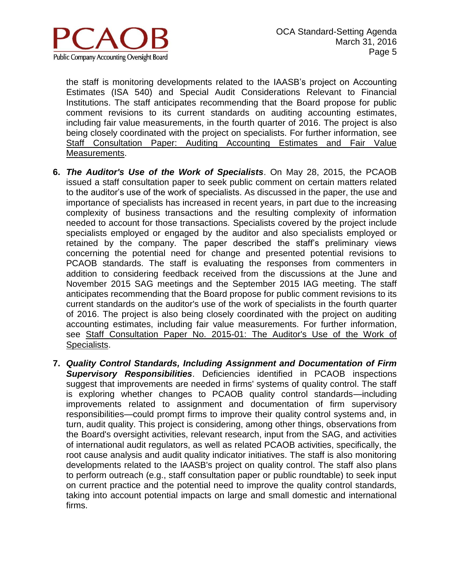

the staff is monitoring developments related to the IAASB's project on Accounting Estimates (ISA 540) and Special Audit Considerations Relevant to Financial Institutions. The staff anticipates recommending that the Board propose for public comment revisions to its current standards on auditing accounting estimates, including fair value measurements, in the fourth quarter of 2016. The project is also being closely coordinated with the project on specialists. For further information, see [Staff Consultation Paper: Auditing Accounting Estimates and Fair Value](http://pcaobus.org/Standards/Pages/SCP_Accounting_Estimates_Fair_Value.aspx)  [Measurements.](http://pcaobus.org/Standards/Pages/SCP_Accounting_Estimates_Fair_Value.aspx)

- **6.** *The Auditor's Use of the Work of Specialists*. On May 28, 2015, the PCAOB issued a staff consultation paper to seek public comment on certain matters related to the auditor's use of the work of specialists. As discussed in the paper, the use and importance of specialists has increased in recent years, in part due to the increasing complexity of business transactions and the resulting complexity of information needed to account for those transactions. Specialists covered by the project include specialists employed or engaged by the auditor and also specialists employed or retained by the company. The paper described the staff's preliminary views concerning the potential need for change and presented potential revisions to PCAOB standards. The staff is evaluating the responses from commenters in addition to considering feedback received from the discussions at the June and November 2015 SAG meetings and the September 2015 IAG meeting. The staff anticipates recommending that the Board propose for public comment revisions to its current standards on the auditor's use of the work of specialists in the fourth quarter of 2016. The project is also being closely coordinated with the project on auditing accounting estimates, including fair value measurements. For further information, see [Staff Consultation Paper No. 2015-01: The Auditor's Use of the Work of](http://pcaobus.org/Standards/Pages/SCP_Specialists.aspx)  [Specialists.](http://pcaobus.org/Standards/Pages/SCP_Specialists.aspx)
- **7.** *Quality Control Standards, Including Assignment and Documentation of Firm Supervisory Responsibilities*. Deficiencies identified in PCAOB inspections suggest that improvements are needed in firms' systems of quality control. The staff is exploring whether changes to PCAOB quality control standards—including improvements related to assignment and documentation of firm supervisory responsibilities—could prompt firms to improve their quality control systems and, in turn, audit quality. This project is considering, among other things, observations from the Board's oversight activities, relevant research, input from the SAG, and activities of international audit regulators, as well as related PCAOB activities, specifically, the root cause analysis and audit quality indicator initiatives. The staff is also monitoring developments related to the IAASB's project on quality control. The staff also plans to perform outreach (e.g., staff consultation paper or public roundtable) to seek input on current practice and the potential need to improve the quality control standards, taking into account potential impacts on large and small domestic and international firms.